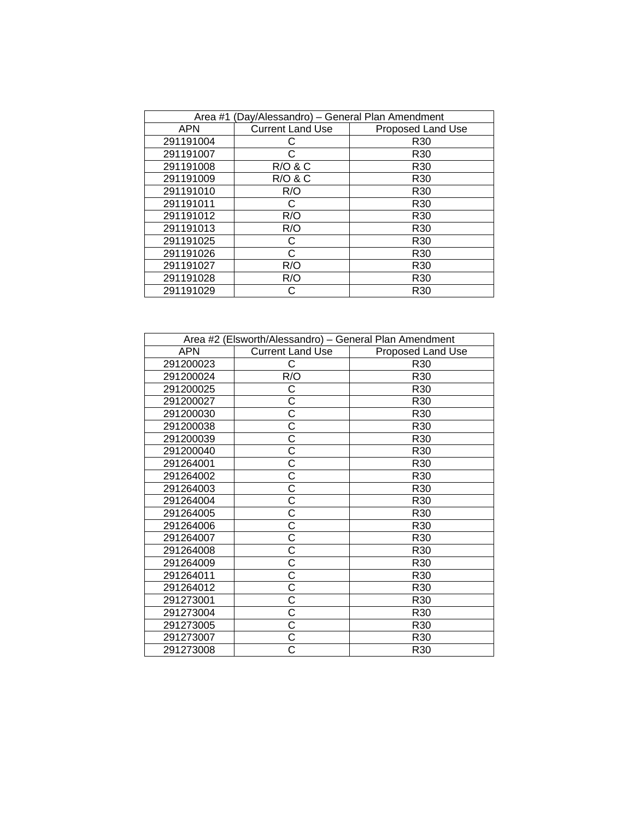| Area #1 (Day/Alessandro) – General Plan Amendment |                         |                   |  |  |
|---------------------------------------------------|-------------------------|-------------------|--|--|
| <b>APN</b>                                        | <b>Current Land Use</b> | Proposed Land Use |  |  |
| 291191004                                         |                         | R <sub>30</sub>   |  |  |
| 291191007                                         | C                       | R <sub>30</sub>   |  |  |
| 291191008                                         | <b>R/O &amp; C</b>      | R <sub>30</sub>   |  |  |
| 291191009                                         | <b>R/O &amp; C</b>      | R <sub>30</sub>   |  |  |
| 291191010                                         | R/O                     | R <sub>30</sub>   |  |  |
| 291191011                                         | C                       | R <sub>30</sub>   |  |  |
| 291191012                                         | R/O                     | R <sub>30</sub>   |  |  |
| 291191013                                         | R/O                     | R <sub>30</sub>   |  |  |
| 291191025                                         | C                       | R <sub>30</sub>   |  |  |
| 291191026                                         | C                       | R <sub>30</sub>   |  |  |
| 291191027                                         | R/O                     | R <sub>30</sub>   |  |  |
| 291191028                                         | R/O                     | R <sub>30</sub>   |  |  |
| 291191029                                         |                         | R <sub>30</sub>   |  |  |

| Area #2 (Elsworth/Alessandro) - General Plan Amendment |                         |                   |  |
|--------------------------------------------------------|-------------------------|-------------------|--|
| <b>APN</b>                                             | <b>Current Land Use</b> | Proposed Land Use |  |
| 291200023                                              | С                       | R <sub>30</sub>   |  |
| 291200024                                              | R/O                     | R <sub>30</sub>   |  |
| 291200025                                              | С                       | R30               |  |
| 291200027                                              | С                       | R30               |  |
| 291200030                                              | Ć                       | R <sub>30</sub>   |  |
| 291200038                                              | Ċ                       | R30               |  |
| 291200039                                              | С                       | R <sub>30</sub>   |  |
| 291200040                                              | Ć                       | R <sub>30</sub>   |  |
| 291264001                                              | Ć                       | R <sub>30</sub>   |  |
| 291264002                                              | $\overline{\text{C}}$   | R <sub>30</sub>   |  |
| 291264003                                              | $\overline{\text{C}}$   | R30               |  |
| 291264004                                              | $\overline{\text{C}}$   | R30               |  |
| 291264005                                              | $\overline{\text{c}}$   | R30               |  |
| 291264006                                              | C                       | R30               |  |
| 291264007                                              | $\overline{\text{c}}$   | R30               |  |
| 291264008                                              | Ć                       | R30               |  |
| 291264009                                              | Ć                       | R30               |  |
| 291264011                                              | Ć                       | R <sub>30</sub>   |  |
| 291264012                                              | $\overline{\text{c}}$   | R <sub>30</sub>   |  |
| 291273001                                              | $\overline{\text{c}}$   | R <sub>30</sub>   |  |
| 291273004                                              | Ć                       | R30               |  |
| 291273005                                              | Ċ                       | R <sub>30</sub>   |  |
| 291273007                                              | С                       | R30               |  |
| 291273008                                              |                         | R <sub>30</sub>   |  |